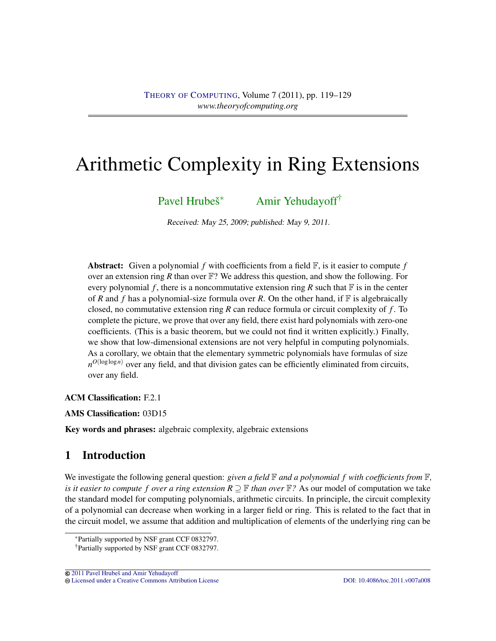# Arithmetic Complexity in Ring Extensions

Pavel Hrubeš<sup>\*</sup> <sup>∗</sup> [Amir Yehudayoff](#page-10-1)†

Received: May 25, 2009; published: May 9, 2011.

**Abstract:** Given a polynomial  $f$  with coefficients from a field  $\mathbb{F}$ , is it easier to compute  $f$ over an extension ring *R* than over  $\mathbb{F}$ ? We address this question, and show the following. For every polynomial  $f$ , there is a noncommutative extension ring  $R$  such that  $\mathbb F$  is in the center of *R* and *f* has a polynomial-size formula over *R*. On the other hand, if  $\mathbb F$  is algebraically closed, no commutative extension ring *R* can reduce formula or circuit complexity of *f* . To complete the picture, we prove that over any field, there exist hard polynomials with zero-one coefficients. (This is a basic theorem, but we could not find it written explicitly.) Finally, we show that low-dimensional extensions are not very helpful in computing polynomials. As a corollary, we obtain that the elementary symmetric polynomials have formulas of size  $n^{O(\log \log n)}$  over any field, and that division gates can be efficiently eliminated from circuits, over any field.

ACM Classification: F.2.1

AMS Classification: 03D15

Key words and phrases: algebraic complexity, algebraic extensions

## 1 Introduction

We investigate the following general question: *given a field*  $\mathbb F$  *and a polynomial*  $f$  *with coefficients from*  $\mathbb F$ , *is it easier to compute f over a ring extension*  $R \supseteq F$  *than over*  $F$ ? As our model of computation we take the standard model for computing polynomials, arithmetic circuits. In principle, the circuit complexity of a polynomial can decrease when working in a larger field or ring. This is related to the fact that in the circuit model, we assume that addition and multiplication of elements of the underlying ring can be

<sup>∗</sup>Partially supported by NSF grant CCF 0832797. †Partially supported by NSF grant CCF 0832797.

<sup>&</sup>lt;sup>©</sup> 2011 Pavel Hrubeš and Amir Yehudayoff [Licensed under a Creative Commons Attribution License](http://creativecommons.org/licenses/by/3.0/) [DOI: 10.4086/toc.2011.v007a008](http://dx.doi.org/10.4086/toc.2011.v007a008)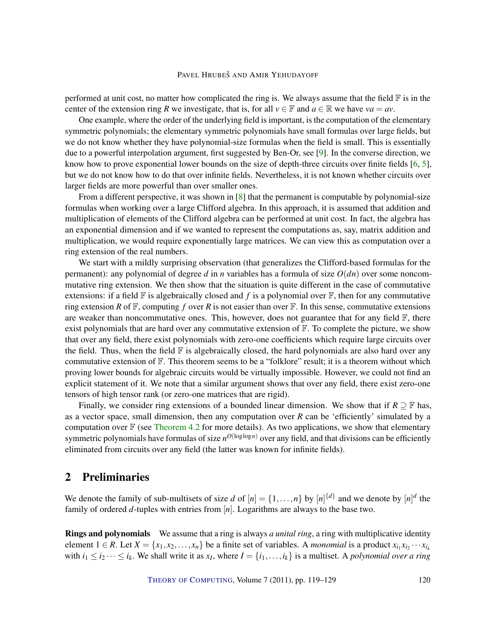<span id="page-1-0"></span>performed at unit cost, no matter how complicated the ring is. We always assume that the field  $\mathbb F$  is in the center of the extension ring *R* we investigate, that is, for all  $v \in \mathbb{F}$  and  $a \in \mathbb{R}$  we have  $va = av$ .

One example, where the order of the underlying field is important, is the computation of the elementary symmetric polynomials; the elementary symmetric polynomials have small formulas over large fields, but we do not know whether they have polynomial-size formulas when the field is small. This is essentially due to a powerful interpolation argument, first suggested by Ben-Or, see [\[9\]](#page-10-2). In the converse direction, we know how to prove exponential lower bounds on the size of depth-three circuits over finite fields [\[6,](#page-10-3) [5\]](#page-9-0), but we do not know how to do that over infinite fields. Nevertheless, it is not known whether circuits over larger fields are more powerful than over smaller ones.

From a different perspective, it was shown in [\[8\]](#page-10-4) that the permanent is computable by polynomial-size formulas when working over a large Clifford algebra. In this approach, it is assumed that addition and multiplication of elements of the Clifford algebra can be performed at unit cost. In fact, the algebra has an exponential dimension and if we wanted to represent the computations as, say, matrix addition and multiplication, we would require exponentially large matrices. We can view this as computation over a ring extension of the real numbers.

We start with a mildly surprising observation (that generalizes the Clifford-based formulas for the permanent): any polynomial of degree *d* in *n* variables has a formula of size *O*(*dn*) over some noncommutative ring extension. We then show that the situation is quite different in the case of commutative extensions: if a field  $\mathbb F$  is algebraically closed and f is a polynomial over  $\mathbb F$ , then for any commutative ring extension *R* of  $\mathbb{F}$ , computing *f* over *R* is not easier than over  $\mathbb{F}$ . In this sense, commutative extensions are weaker than noncommutative ones. This, however, does not guarantee that for any field  $\mathbb{F}$ , there exist polynomials that are hard over any commutative extension of  $\mathbb{F}$ . To complete the picture, we show that over any field, there exist polynomials with zero-one coefficients which require large circuits over the field. Thus, when the field  $\mathbb F$  is algebraically closed, the hard polynomials are also hard over any commutative extension of  $\mathbb F$ . This theorem seems to be a "folklore" result; it is a theorem without which proving lower bounds for algebraic circuits would be virtually impossible. However, we could not find an explicit statement of it. We note that a similar argument shows that over any field, there exist zero-one tensors of high tensor rank (or zero-one matrices that are rigid).

Finally, we consider ring extensions of a bounded linear dimension. We show that if  $R \supseteq \mathbb{F}$  has, as a vector space, small dimension, then any computation over *R* can be 'efficiently' simulated by a computation over  $\mathbb F$  (see [Theorem](#page-8-0) [4.2](#page-8-0) for more details). As two applications, we show that elementary symmetric polynomials have formulas of size  $n^{O(\log \log n)}$  over any field, and that divisions can be efficiently eliminated from circuits over any field (the latter was known for infinite fields).

## 2 Preliminaries

We denote the family of sub-multisets of size *d* of  $[n] = \{1, \ldots, n\}$  by  $[n]$ <sup>{*d*}</sup> and we denote by  $[n]$ <sup>*d*</sup> the family of ordered *d*-tuples with entries from [*n*]. Logarithms are always to the base two.

Rings and polynomials We assume that a ring is always *a unital ring*, a ring with multiplicative identity element  $1 \in R$ . Let  $X = \{x_1, x_2, \ldots, x_n\}$  be a finite set of variables. A *monomial* is a product  $x_{i_1} x_{i_2} \cdots x_{i_k}$ with  $i_1 \leq i_2 \cdots \leq i_k$ . We shall write it as  $x_I$ , where  $I = \{i_1, \ldots, i_k\}$  is a multiset. A *polynomial over a ring*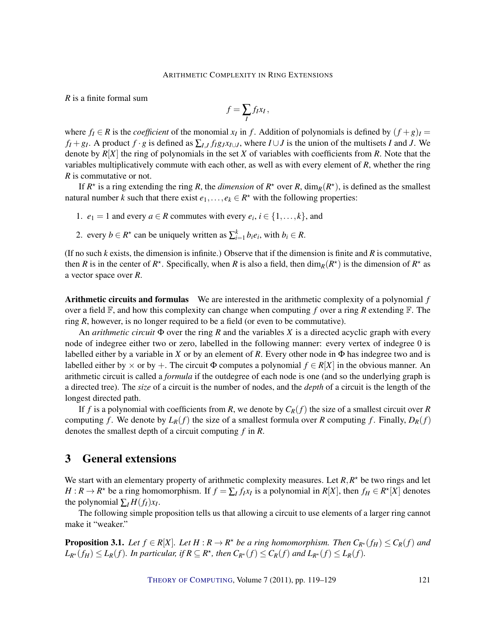*R* is a finite formal sum

$$
f=\sum_I f_I x_I,
$$

where  $f_I \in R$  is the *coefficient* of the monomial  $x_I$  in  $f$ . Addition of polynomials is defined by  $(f+g)_I =$  $f_I + g_I$ . A product  $f \cdot g$  is defined as  $\sum_{I,J} f_I g_J x_{I \cup J}$ , where  $I \cup J$  is the union of the multisets I and J. We denote by *R*[*X*] the ring of polynomials in the set *X* of variables with coefficients from *R*. Note that the variables multiplicatively commute with each other, as well as with every element of *R*, whether the ring *R* is commutative or not.

If  $R^*$  is a ring extending the ring R, the *dimension* of  $R^*$  over R,  $\dim_R(R^*)$ , is defined as the smallest natural number *k* such that there exist  $e_1, \ldots, e_k \in R^*$  with the following properties:

- 1.  $e_1 = 1$  and every  $a \in R$  commutes with every  $e_i$ ,  $i \in \{1, ..., k\}$ , and
- 2. every  $b \in R^*$  can be uniquely written as  $\sum_{i=1}^k b_i e_i$ , with  $b_i \in R$ .

(If no such *k* exists, the dimension is infinite.) Observe that if the dimension is finite and *R* is commutative, then *R* is in the center of  $R^*$ . Specifically, when *R* is also a field, then  $\dim_R(R^*)$  is the dimension of  $R^*$  as a vector space over *R*.

Arithmetic circuits and formulas We are interested in the arithmetic complexity of a polynomial *f* over a field F, and how this complexity can change when computing *f* over a ring *R* extending F. The ring *R*, however, is no longer required to be a field (or even to be commutative).

An *arithmetic circuit* Φ over the ring *R* and the variables *X* is a directed acyclic graph with every node of indegree either two or zero, labelled in the following manner: every vertex of indegree 0 is labelled either by a variable in *X* or by an element of *R*. Every other node in  $\Phi$  has indegree two and is labelled either by  $\times$  or by +. The circuit  $\Phi$  computes a polynomial  $f \in R[X]$  in the obvious manner. An arithmetic circuit is called a *formula* if the outdegree of each node is one (and so the underlying graph is a directed tree). The *size* of a circuit is the number of nodes, and the *depth* of a circuit is the length of the longest directed path.

If *f* is a polynomial with coefficients from *R*, we denote by  $C_R(f)$  the size of a smallest circuit over *R* computing *f*. We denote by  $L_R(f)$  the size of a smallest formula over *R* computing *f*. Finally,  $D_R(f)$ denotes the smallest depth of a circuit computing *f* in *R*.

## 3 General extensions

We start with an elementary property of arithmetic complexity measures. Let  $R, R^*$  be two rings and let *H* :  $R \to R^*$  be a ring homomorphism. If  $f = \sum_I f_I x_I$  is a polynomial in  $R[X]$ , then  $f_H \in R^*[X]$  denotes the polynomial  $\sum_{I} H(f_I)x_I$ .

The following simple proposition tells us that allowing a circuit to use elements of a larger ring cannot make it "weaker."

<span id="page-2-0"></span>**Proposition 3.1.** Let  $f \in R[X]$ . Let  $H : R \to R^*$  be a ring homomorphism. Then  $C_{R^*}(f_H) \leq C_R(f)$  and  $L_{R^*}(f_H) \leq L_R(f)$ . In particular, if  $R \subseteq R^*$ , then  $C_{R^*}(f) \leq C_R(f)$  and  $L_{R^*}(f) \leq L_R(f)$ .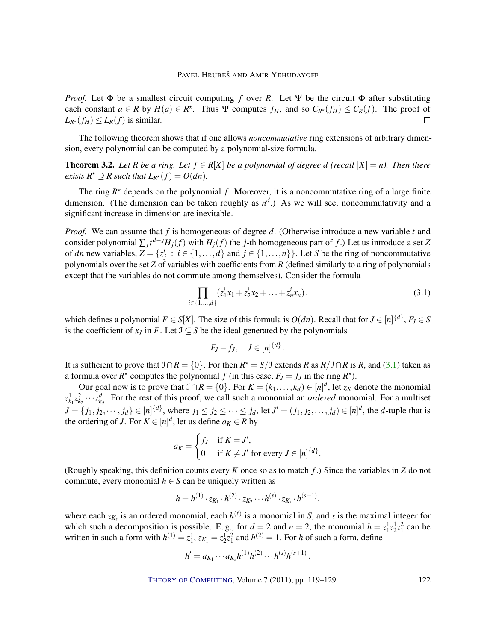*Proof.* Let Φ be a smallest circuit computing *f* over *R*. Let Ψ be the circuit Φ after substituting each constant  $a \in R$  by  $H(a) \in R^*$ . Thus  $\Psi$  computes  $f_H$ , and so  $C_{R^*}(f_H) \leq C_R(f)$ . The proof of  $L_{R^*}(f_H) \leq L_R(f)$  is similar.  $\Box$ 

The following theorem shows that if one allows *noncommutative* ring extensions of arbitrary dimension, every polynomial can be computed by a polynomial-size formula.

<span id="page-3-1"></span>**Theorem 3.2.** Let R be a ring. Let  $f \in R[X]$  be a polynomial of degree *d* (recall  $|X| = n$ ). Then there *exists*  $R^* \supseteq R$  *such that*  $L_{R^*}(f) = O(dn)$ *.* 

The ring  $R^*$  depends on the polynomial  $f$ . Moreover, it is a noncommutative ring of a large finite dimension. (The dimension can be taken roughly as  $n^d$ .) As we will see, noncommutativity and a significant increase in dimension are inevitable.

*Proof.* We can assume that *f* is homogeneous of degree *d*. (Otherwise introduce a new variable *t* and consider polynomial  $\sum_j t^{d-j} H_j(f)$  with  $H_j(f)$  the *j*-th homogeneous part of *f*.) Let us introduce a set *Z* of *dn* new variables,  $Z = \{z_j^i : i \in \{1, ..., d\} \text{ and } j \in \{1, ..., n\}\}\.$  Let *S* be the ring of noncommutative polynomials over the set *Z* of variables with coefficients from *R* (defined similarly to a ring of polynomials except that the variables do not commute among themselves). Consider the formula

<span id="page-3-0"></span>
$$
\prod_{i \in \{1,\dots,d\}} (z_1^i x_1 + z_2^i x_2 + \dots + z_n^i x_n), \tag{3.1}
$$

which defines a polynomial  $F \in S[X]$ . The size of this formula is  $O(dn)$ . Recall that for  $J \in [n]^{\{d\}}$ ,  $F_J \in S$ is the coefficient of  $x_J$  in *F*. Let  $J \subseteq S$  be the ideal generated by the polynomials

$$
F_J - f_J, \quad J \in [n]^{d}.
$$

It is sufficient to prove that  $\mathcal{I} \cap R = \{0\}$ . For then  $R^* = S/\mathcal{I}$  extends *R* as  $R/\mathcal{I} \cap R$  is *R*, and [\(3.1\)](#page-3-0) taken as a formula over  $R^*$  computes the polynomial  $f$  (in this case,  $F_J = f_J$  in the ring  $R^*$ ).

Our goal now is to prove that  $\mathcal{I} \cap R = \{0\}$ . For  $K = (k_1, \ldots, k_d) \in [n]^d$ , let  $z_K$  denote the monomial  $z_{k_1}^1 z_{k_2}^2 \cdots z_{k_d}^d$ . For the rest of this proof, we call such a monomial an *ordered* monomial. For a multiset  $J = \{j_1, j_2, \dots, j_d\} \in [n]^{\{d\}}$ , where  $j_1 \le j_2 \le \dots \le j_d$ , let  $J' = (j_1, j_2, \dots, j_d) \in [n]^d$ , the *d*-tuple that is the ordering of *J*. For  $K \in [n]^d$ , let us define  $a_K \in R$  by

$$
a_K = \begin{cases} f_J & \text{if } K = J', \\ 0 & \text{if } K \neq J' \text{ for every } J \in [n]^{d} \end{cases}.
$$

(Roughly speaking, this definition counts every *K* once so as to match *f* .) Since the variables in *Z* do not commute, every monomial  $h \in S$  can be uniquely written as

$$
h = h^{(1)} \cdot z_{K_1} \cdot h^{(2)} \cdot z_{K_2} \cdots h^{(s)} \cdot z_{K_s} \cdot h^{(s+1)},
$$

where each  $z_{K_\ell}$  is an ordered monomial, each  $h^{(\ell)}$  is a monomial in *S*, and *s* is the maximal integer for which such a decomposition is possible. E.g., for  $d = 2$  and  $n = 2$ , the monomial  $h = z_1^1 z_2^1 z_1^2$  can be written in such a form with  $h^{(1)} = z_1^1$ ,  $z_{K_1} = z_2^1 z_1^2$  and  $h^{(2)} = 1$ . For *h* of such a form, define

$$
h' = a_{K_1} \cdots a_{K_s} h^{(1)} h^{(2)} \cdots h^{(s)} h^{(s+1)}.
$$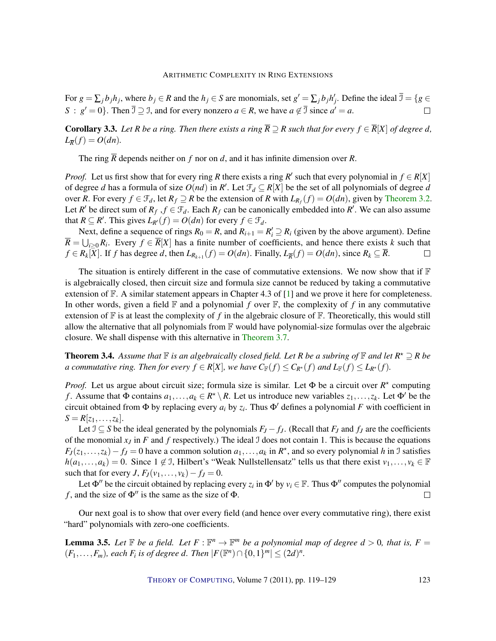<span id="page-4-1"></span>For  $g = \sum_j b_j h_j$ , where  $b_j \in R$  and the  $h_j \in S$  are monomials, set  $g' = \sum_j b_j h'_j$ . Define the ideal  $\overline{\mathcal{I}} = \{g \in S | h_j\}$ *S* :  $g' = 0$ . Then  $\overline{J} \supseteq J$ , and for every nonzero  $a \in R$ , we have  $a \notin \overline{J}$  since  $a' = a$ .  $\Box$ 

**Corollary 3.3.** Let R be a ring. Then there exists a ring  $\overline{R} \supseteq R$  such that for every  $f \in \overline{R}[X]$  of degree d,  $L_{\overline{R}}(f) = O(dn).$ 

The ring *R* depends neither on *f* nor on *d*, and it has infinite dimension over *R*.

*Proof.* Let us first show that for every ring *R* there exists a ring *R*<sup>'</sup> such that every polynomial in  $f \in R[X]$ of degree *d* has a formula of size  $O(nd)$  in  $R'$ . Let  $\mathcal{F}_d \subseteq R[X]$  be the set of all polynomials of degree *d* over *R*. For every  $f \in \mathcal{F}_d$ , let  $R_f \supseteq R$  be the extension of *R* with  $L_{R_f}(f) = O(dn)$ , given by [Theorem](#page-3-1) [3.2.](#page-3-1) Let *R'* be direct sum of  $R_f$ ,  $f \in \mathcal{F}_d$ . Each  $R_f$  can be canonically embedded into *R'*. We can also assume that  $R \subseteq R'$ . This gives  $L_{R'}(f) = O(dn)$  for every  $f \in \mathcal{F}_d$ .

Next, define a sequence of rings  $R_0 = R$ , and  $R_{i+1} = R'_i \supseteq R_i$  (given by the above argument). Define  $\overline{R} = \bigcup_{i \geq 0} R_i$ . Every  $f \in \overline{R}[X]$  has a finite number of coefficients, and hence there exists *k* such that  $f \in R_k[X]$ . If f has degree d, then  $L_{R_{k+1}}(f) = O(dn)$ . Finally,  $L_{\overline{R}}(f) = O(dn)$ , since  $R_k \subseteq \overline{R}$ .  $\Box$ 

The situation is entirely different in the case of commutative extensions. We now show that if  $\mathbb F$ is algebraically closed, then circuit size and formula size cannot be reduced by taking a commutative extension of  $\mathbb F$ . A similar statement appears in Chapter 4.3 of [\[1\]](#page-9-1) and we prove it here for completeness. In other words, given a field  $\mathbb F$  and a polynomial  $f$  over  $\mathbb F$ , the complexity of  $f$  in any commutative extension of  $\mathbb F$  is at least the complexity of f in the algebraic closure of  $\mathbb F$ . Theoretically, this would still allow the alternative that all polynomials from  $\mathbb F$  would have polynomial-size formulas over the algebraic closure. We shall dispense with this alternative in [Theorem](#page-5-0) [3.7.](#page-5-0)

**Theorem 3.4.** Assume that  $\mathbb F$  is an algebraically closed field. Let R be a subring of  $\mathbb F$  and let  $R^* \supseteq R$  be *a commutative ring. Then for every*  $f \in R[X]$ *, we have*  $C_F(f) \leq C_{R^*}(f)$  *and*  $L_F(f) \leq L_{R^*}(f)$ *.* 

*Proof.* Let us argue about circuit size; formula size is similar. Let Φ be a circuit over  $R^*$  computing *f*. Assume that  $\Phi$  contains  $a_1, \ldots, a_k \in R^* \setminus R$ . Let us introduce new variables  $z_1, \ldots, z_k$ . Let  $\Phi'$  be the circuit obtained from  $\Phi$  by replacing every  $a_i$  by  $z_i$ . Thus  $\Phi'$  defines a polynomial F with coefficient in  $S = R[z_1, \ldots, z_k].$ 

Let  $\mathcal{I}$  ⊆ *S* be the ideal generated by the polynomials  $F_J - f_J$ . (Recall that  $F_J$  and  $f_J$  are the coefficients of the monomial  $x_j$  in  $F$  and  $f$  respectively.) The ideal  $\Im$  does not contain 1. This is because the equations  $F_J(z_1,...,z_k) - f_J = 0$  have a common solution  $a_1,...,a_k$  in  $R^*$ , and so every polynomial *h* in J satisfies  $h(a_1,...,a_k) = 0$ . Since  $1 \notin \mathcal{I}$ , Hilbert's "Weak Nullstellensatz" tells us that there exist  $v_1,...,v_k \in \mathbb{F}$ such that for every *J*,  $F_J(v_1,\ldots,v_k)-f_J=0$ .

Let  $\Phi''$  be the circuit obtained by replacing every  $z_i$  in  $\Phi'$  by  $v_i \in \mathbb{F}$ . Thus  $\Phi''$  computes the polynomial *f*, and the size of  $\Phi''$  is the same as the size of  $\Phi$ .  $\Box$ 

Our next goal is to show that over every field (and hence over every commutative ring), there exist "hard" polynomials with zero-one coefficients.

<span id="page-4-0"></span>**Lemma 3.5.** Let  $\mathbb{F}$  be a field. Let  $F : \mathbb{F}^n \to \mathbb{F}^m$  be a polynomial map of degree  $d > 0$ , that is,  $F =$  $(F_1, ..., F_m)$ *, each*  $F_i$  *is of degree d. Then*  $|F(\mathbb{F}^n) \cap \{0, 1\}^m| \leq (2d)^n$ *.*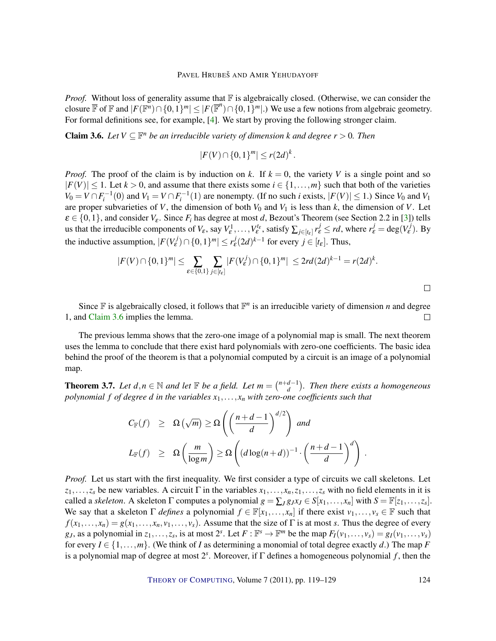<span id="page-5-2"></span>*Proof.* Without loss of generality assume that  $\mathbb F$  is algebraically closed. (Otherwise, we can consider the closure  $\overline{\mathbb{F}}$  of  $\mathbb{F}$  and  $|F(\mathbb{F}^n) \cap \{0,1\}^m| \leq |F(\overline{\mathbb{F}}^n) \cap \{0,1\}^m|$ .) We use a few notions from algebraic geometry. For formal definitions see, for example, [\[4\]](#page-9-2). We start by proving the following stronger claim.

<span id="page-5-1"></span>**Claim 3.6.** Let  $V \subseteq \mathbb{F}^n$  be an irreducible variety of dimension k and degree  $r > 0$ . Then

$$
|F(V) \cap \{0,1\}^m| \le r(2d)^k.
$$

*Proof.* The proof of the claim is by induction on k. If  $k = 0$ , the variety V is a single point and so  $|F(V)| \leq 1$ . Let  $k > 0$ , and assume that there exists some  $i \in \{1, \ldots, m\}$  such that both of the varieties  $V_0 = V \cap F_i^{-1}(0)$  and  $V_1 = V \cap F_i^{-1}(1)$  are nonempty. (If no such *i* exists,  $|F(V)| \le 1$ .) Since  $V_0$  and  $V_1$ are proper subvarieties of *V*, the dimension of both  $V_0$  and  $V_1$  is less than  $k$ , the dimension of *V*. Let  $\varepsilon \in \{0,1\}$ , and consider  $V_{\varepsilon}$ . Since  $F_i$  has degree at most *d*, Bezout's Theorem (see Section 2.2 in [\[3\]](#page-9-3)) tells us that the irreducible components of  $V_{\varepsilon}$ , say  $V_{\varepsilon}^1, \ldots, V_{\varepsilon}^{t_{\varepsilon}}$ , satisfy  $\sum_{j \in [t_{\varepsilon}]} r_{\varepsilon}^j \leq rd$ , where  $r_{\varepsilon}^j = \deg(V_{\varepsilon}^j)$ . By the inductive assumption,  $|F(V_{\varepsilon}^j) \cap \{0,1\}^m| \leq r_{\varepsilon}^j (2d)^{k-1}$  for every  $j \in [t_{\varepsilon}]$ . Thus,

$$
|F(V) \cap \{0,1\}^m| \leq \sum_{\varepsilon \in \{0,1\}} \sum_{j \in [t_{\varepsilon}]} |F(V_{\varepsilon}^j) \cap \{0,1\}^m| \leq 2rd(2d)^{k-1} = r(2d)^k.
$$

 $\Box$ 

Since  $\mathbb F$  is algebraically closed, it follows that  $\mathbb F^n$  is an irreducible variety of dimension *n* and degree 1, and [Claim](#page-5-1) [3.6](#page-5-1) implies the lemma.  $\Box$ 

The previous lemma shows that the zero-one image of a polynomial map is small. The next theorem uses the lemma to conclude that there exist hard polynomials with zero-one coefficients. The basic idea behind the proof of the theorem is that a polynomial computed by a circuit is an image of a polynomial map.

<span id="page-5-0"></span>**Theorem 3.7.** Let  $d, n \in \mathbb{N}$  and let  $\mathbb{F}$  be a field. Let  $m = \binom{n+d-1}{d}$ *d . Then there exists a homogeneous polynomial f of degree d in the variables*  $x_1, \ldots, x_n$  *with zero-one coefficients such that* 

$$
C_{\mathbb{F}}(f) \geq \Omega\left(\sqrt{m}\right) \geq \Omega\left(\left(\frac{n+d-1}{d}\right)^{d/2}\right) \text{ and}
$$
  

$$
L_{\mathbb{F}}(f) \geq \Omega\left(\frac{m}{\log m}\right) \geq \Omega\left((d \log(n+d))^{-1} \cdot \left(\frac{n+d-1}{d}\right)^d\right).
$$

*Proof.* Let us start with the first inequality. We first consider a type of circuits we call skeletons. Let  $z_1, \ldots, z_s$  be new variables. A circuit Γ in the variables  $x_1, \ldots, x_n, z_1, \ldots, z_s$  with no field elements in it is called a *skeleton*. A skeleton  $\Gamma$  computes a polynomial  $g = \sum_{J} g_{J}x_{J} \in S[x_1, \ldots, x_n]$  with  $S = \mathbb{F}[z_1, \ldots, z_s]$ . We say that a skeleton  $\Gamma$  *defines* a polynomial  $f \in \mathbb{F}[x_1,\ldots,x_n]$  if there exist  $v_1,\ldots,v_s \in \mathbb{F}$  such that  $f(x_1,...,x_n) = g(x_1,...,x_n, v_1,...,v_s)$ . Assume that the size of Γ is at most *s*. Thus the degree of every g<sub>J</sub>, as a polynomial in  $z_1, \ldots, z_s$ , is at most  $2^s$ . Let  $F : \mathbb{F}^s \to \mathbb{F}^m$  be the map  $F_I(v_1, \ldots, v_s) = g_I(v_1, \ldots, v_s)$ for every  $I \in \{1, \ldots, m\}$ . (We think of *I* as determining a monomial of total degree exactly *d*.) The map *F* is a polynomial map of degree at most 2 *s* . Moreover, if Γ defines a homogeneous polynomial *f* , then the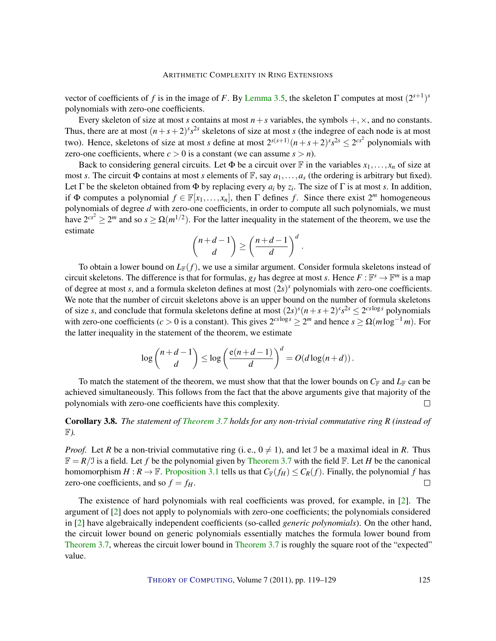<span id="page-6-0"></span>vector of coefficients of *f* is in the image of *F*. By [Lemma](#page-4-0) [3.5,](#page-4-0) the skeleton  $\Gamma$  computes at most  $(2^{s+1})^s$ polynomials with zero-one coefficients.

Every skeleton of size at most *s* contains at most  $n + s$  variables, the symbols  $+, \times,$  and no constants. Thus, there are at most  $(n+s+2)^s s^{2s}$  skeletons of size at most *s* (the indegree of each node is at most two). Hence, skeletons of size at most *s* define at most  $2^{s(s+1)}(n+s+2)^s s^{2s} \le 2^{cs^2}$  polynomials with zero-one coefficients, where  $c > 0$  is a constant (we can assume  $s > n$ ).

Back to considering general circuits. Let  $\Phi$  be a circuit over  $\mathbb F$  in the variables  $x_1, \ldots, x_n$  of size at most *s*. The circuit  $\Phi$  contains at most *s* elements of  $\mathbb{F}$ , say  $a_1, \ldots, a_s$  (the ordering is arbitrary but fixed). Let  $\Gamma$  be the skeleton obtained from  $\Phi$  by replacing every  $a_i$  by  $z_i$ . The size of  $\Gamma$  is at most *s*. In addition, if  $\Phi$  computes a polynomial  $f \in \mathbb{F}[x_1, \ldots, x_n]$ , then  $\Gamma$  defines f. Since there exist  $2^m$  homogeneous polynomials of degree *d* with zero-one coefficients, in order to compute all such polynomials, we must have  $2^{cs^2} \ge 2^m$  and so  $s \ge \Omega(m^{1/2})$ . For the latter inequality in the statement of the theorem, we use the estimate

$$
\binom{n+d-1}{d} \ge \left(\frac{n+d-1}{d}\right)^d.
$$

To obtain a lower bound on  $L_F(f)$ , we use a similar argument. Consider formula skeletons instead of circuit skeletons. The difference is that for formulas,  $g_J$  has degree at most *s*. Hence  $F : \mathbb{F}^s \to \mathbb{F}^m$  is a map of degree at most *s*, and a formula skeleton defines at most (2*s*) *<sup>s</sup>* polynomials with zero-one coefficients. We note that the number of circuit skeletons above is an upper bound on the number of formula skeletons of size *s*, and conclude that formula skeletons define at most  $(2s)^s(n+s+2)^s s^{2s} \le 2^{cs \log s}$  polynomials with zero-one coefficients ( $c > 0$  is a constant). This gives  $2^{cs \log s} \ge 2^m$  and hence  $s \ge \Omega(m \log^{-1} m)$ . For the latter inequality in the statement of the theorem, we estimate

$$
\log\binom{n+d-1}{d}\leq \log\left(\frac{e(n+d-1)}{d}\right)^d=O(d\log(n+d)).
$$

To match the statement of the theorem, we must show that that the lower bounds on  $C_F$  and  $L_F$  can be achieved simultaneously. This follows from the fact that the above arguments give that majority of the polynomials with zero-one coefficients have this complexity.  $\Box$ 

Corollary 3.8. *The statement of [Theorem](#page-5-0) [3.7](#page-5-0) holds for any non-trivial commutative ring R (instead of* F*).*

*Proof.* Let *R* be a non-trivial commutative ring (i.e.,  $0 \neq 1$ ), and let J be a maximal ideal in *R*. Thus  $\mathbb{F} = R/\mathcal{I}$  is a field. Let f be the polynomial given by [Theorem](#page-5-0) [3.7](#page-5-0) with the field  $\mathbb{F}$ . Let H be the canonical homomorphism  $H : \mathbb{R} \to \mathbb{F}$ . [Proposition](#page-2-0) [3.1](#page-2-0) tells us that  $C_{\mathbb{F}}(f_H) \leq C_R(f)$ . Finally, the polynomial *f* has zero-one coefficients, and so  $f = f_H$ .  $\Box$ 

The existence of hard polynomials with real coefficients was proved, for example, in [\[2\]](#page-9-4). The argument of [\[2\]](#page-9-4) does not apply to polynomials with zero-one coefficients; the polynomials considered in [\[2\]](#page-9-4) have algebraically independent coefficients (so-called *generic polynomials*). On the other hand, the circuit lower bound on generic polynomials essentially matches the formula lower bound from [Theorem](#page-5-0) [3.7,](#page-5-0) whereas the circuit lower bound in [Theorem](#page-5-0) [3.7](#page-5-0) is roughly the square root of the "expected" value.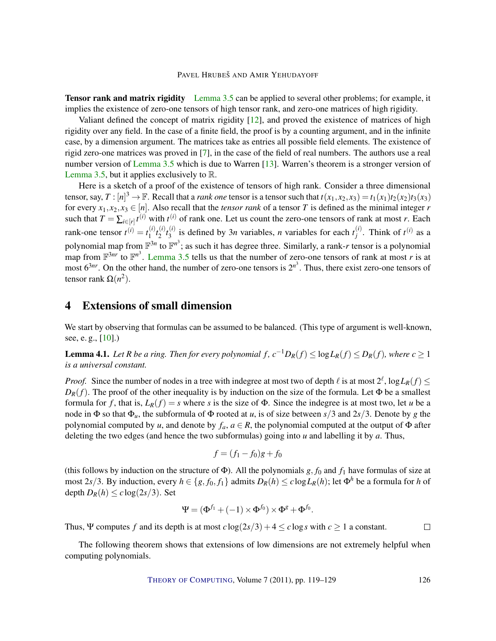<span id="page-7-1"></span>**Tensor rank and matrix rigidity** [Lemma](#page-4-0) [3.5](#page-4-0) can be applied to several other problems; for example, it implies the existence of zero-one tensors of high tensor rank, and zero-one matrices of high rigidity.

Valiant defined the concept of matrix rigidity [\[12\]](#page-10-5), and proved the existence of matrices of high rigidity over any field. In the case of a finite field, the proof is by a counting argument, and in the infinite case, by a dimension argument. The matrices take as entries all possible field elements. The existence of rigid zero-one matrices was proved in [\[7\]](#page-10-6), in the case of the field of real numbers. The authors use a real number version of [Lemma](#page-4-0) [3.5](#page-4-0) which is due to Warren [\[13\]](#page-10-7). Warren's theorem is a stronger version of [Lemma](#page-4-0) [3.5,](#page-4-0) but it applies exclusively to  $\mathbb{R}$ .

Here is a sketch of a proof of the existence of tensors of high rank. Consider a three dimensional tensor, say,  $T : [n]^3 \to \mathbb{F}$ . Recall that a *rank one* tensor is a tensor such that  $t(x_1, x_2, x_3) = t_1(x_1)t_2(x_2)t_3(x_3)$ for every  $x_1, x_2, x_3 \in [n]$ . Also recall that the *tensor rank* of a tensor *T* is defined as the minimal integer *r* such that  $T = \sum_{i \in [r]} t^{(i)}$  with  $t^{(i)}$  of rank one. Let us count the zero-one tensors of rank at most *r*. Each rank-one tensor  $t^{(i)} = t_1^{(i)}$  $\binom{i}{1}$  $t_2^{(i)}$  $\binom{i}{2}t_3^{(i)}$  $\binom{i}{3}$  is defined by 3*n* variables, *n* variables for each  $t_j^{(i)}$  $j^{(i)}$ . Think of  $t^{(i)}$  as a polynomial map from  $\mathbb{F}^{3n}$  to  $\mathbb{F}^{n^3}$ ; as such it has degree three. Similarly, a rank-*r* tensor is a polynomial map from  $\mathbb{F}^{3nr}$  to  $\mathbb{F}^{n^3}$ . [Lemma](#page-4-0) [3.5](#page-4-0) tells us that the number of zero-one tensors of rank at most *r* is at most  $6^{3nr}$ . On the other hand, the number of zero-one tensors is  $2^{n^3}$ . Thus, there exist zero-one tensors of tensor rank  $Ω(n^2)$ .

## 4 Extensions of small dimension

We start by observing that formulas can be assumed to be balanced. (This type of argument is well-known, see, e. g., [\[10\]](#page-10-8).)

<span id="page-7-0"></span>**Lemma 4.1.** Let R be a ring. Then for every polynomial  $f$ ,  $c^{-1}D_R(f) \le \log L_R(f) \le D_R(f)$ , where  $c \ge 1$ *is a universal constant.*

*Proof.* Since the number of nodes in a tree with indegree at most two of depth  $\ell$  is at most  $2^{\ell}$ ,  $\log L_R(f) \le$  $D_R(f)$ . The proof of the other inequality is by induction on the size of the formula. Let  $\Phi$  be a smallest formula for *f*, that is,  $L_R(f) = s$  where *s* is the size of  $\Phi$ . Since the indegree is at most two, let *u* be a node in  $\Phi$  so that  $\Phi_u$ , the subformula of  $\Phi$  rooted at *u*, is of size between *s*/3 and 2*s*/3. Denote by *g* the polynomial computed by *u*, and denote by  $f_a$ ,  $a \in R$ , the polynomial computed at the output of  $\Phi$  after deleting the two edges (and hence the two subformulas) going into *u* and labelling it by *a*. Thus,

$$
f = (f_1 - f_0)g + f_0
$$

(this follows by induction on the structure of  $\Phi$ ). All the polynomials *g*, *f*<sub>0</sub> and *f*<sub>1</sub> have formulas of size at most 2*s*/3. By induction, every  $h \in \{g, f_0, f_1\}$  admits  $D_R(h) \leq c \log L_R(h)$ ; let  $\Phi^h$  be a formula for *h* of depth  $D_R(h) \leq c \log(2s/3)$ . Set

$$
\Psi = (\Phi^{f_1} + (-1) \times \Phi^{f_0}) \times \Phi^g + \Phi^{f_0}.
$$

Thus,  $\Psi$  computes f and its depth is at most  $c \log(2s/3) + 4 \leq c \log s$  with  $c > 1$  a constant.  $\Box$ 

The following theorem shows that extensions of low dimensions are not extremely helpful when computing polynomials.

THEORY OF C[OMPUTING](http://dx.doi.org/10.4086/toc), Volume 7 (2011), pp. 119–129 126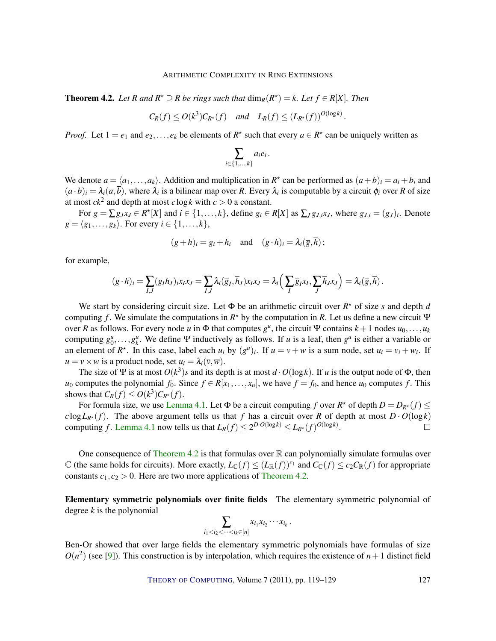<span id="page-8-1"></span><span id="page-8-0"></span>**Theorem 4.2.** Let R and  $R^*$  ≥ R be rings such that  $\dim_R(R^*) = k$ . Let  $f \in R[X]$ . Then

$$
C_R(f) \le O(k^3)C_{R^*}(f)
$$
 and  $L_R(f) \le (L_{R^*}(f))^{O(\log k)}$ 

.

*Proof.* Let  $1 = e_1$  and  $e_2, \ldots, e_k$  be elements of  $R^*$  such that every  $a \in R^*$  can be uniquely written as

$$
\sum_{i\in\{1,\ldots,k\}}a_ie_i
$$

.

We denote  $\overline{a} = \langle a_1, \ldots, a_k \rangle$ . Addition and multiplication in  $R^*$  can be performed as  $(a+b)_i = a_i + b_i$  and  $(a \cdot b)_i = \lambda_i(\overline{a}, \overline{b})$ , where  $\lambda_i$  is a bilinear map over *R*. Every  $\lambda_i$  is computable by a circuit  $\phi_i$  over *R* of size at most  $ck^2$  and depth at most  $c \log k$  with  $c > 0$  a constant.

For  $g = \sum g_j x_j \in R^* [X]$  and  $i \in \{1, ..., k\}$ , define  $g_i \in R[X]$  as  $\sum_J g_{J,i} x_J$ , where  $g_{J,i} = (g_J)_i$ . Denote  $\overline{g} = \langle g_1, \ldots, g_k \rangle$ . For every  $i \in \{1, \ldots, k\},$ 

$$
(g+h)_i = g_i + h_i
$$
 and  $(g \cdot h)_i = \lambda_i(\overline{g}, \overline{h})$ ;

for example,

$$
(g \cdot h)_i = \sum_{I,J} (g_I h_J)_i x_I x_J = \sum_{I,J} \lambda_i (\overline{g}_I, \overline{h}_J) x_I x_J = \lambda_i \left( \sum_I \overline{g}_I x_I, \sum_J \overline{h}_J x_J \right) = \lambda_i (\overline{g}, \overline{h}).
$$

We start by considering circuit size. Let  $\Phi$  be an arithmetic circuit over  $R^*$  of size *s* and depth *d* computing *f*. We simulate the computations in  $R^*$  by the computation in R. Let us define a new circuit  $\Psi$ over *R* as follows. For every node *u* in  $\Phi$  that computes  $g^u$ , the circuit Ψ contains  $k+1$  nodes  $u_0, \ldots, u_k$ computing  $g_0^u, \ldots, g_k^u$ . We define Ψ inductively as follows. If *u* is a leaf, then  $g^u$  is either a variable or an element of  $R^*$ . In this case, label each  $u_i$  by  $(g^u)_i$ . If  $u = v + w$  is a sum node, set  $u_i = v_i + w_i$ . If  $u = v \times w$  is a product node, set  $u_i = \lambda_i(\overline{v}, \overline{w})$ .

The size of  $\Psi$  is at most  $O(k^3)$ *s* and its depth is at most  $d \cdot O(\log k)$ . If *u* is the output node of  $\Phi$ , then *u*<sub>0</sub> computes the polynomial  $f_0$ . Since  $f \in R[x_1, \ldots, x_n]$ , we have  $f = f_0$ , and hence  $u_0$  computes  $f$ . This shows that  $C_R(f) \leq O(k^3)C_{R^*}(f)$ .

For formula size, we use [Lemma](#page-7-0) [4.1.](#page-7-0) Let  $\Phi$  be a circuit computing *f* over  $R^*$  of depth  $D = D_{R^*}(f) \leq$ *c* log $L_{R^*}(f)$ . The above argument tells us that *f* has a circuit over *R* of depth at most  $D \cdot O(\log k)$ computing *f*. [Lemma](#page-7-0) [4.1](#page-7-0) now tells us that  $L_R(f) \leq 2^{D \cdot O(\log k)} \leq L_{R^*}(f)^{O(\log k)}$ .  $\Box$ 

One consequence of [Theorem](#page-8-0) [4.2](#page-8-0) is that formulas over  $\mathbb R$  can polynomially simulate formulas over C (the same holds for circuits). More exactly,  $L_{\mathbb{C}}(f) \leq (L_{\mathbb{R}}(f))^{c_1}$  and  $C_{\mathbb{C}}(f) \leq c_2 C_{\mathbb{R}}(f)$  for appropriate constants  $c_1, c_2 > 0$ . Here are two more applications of [Theorem](#page-8-0) [4.2.](#page-8-0)

Elementary symmetric polynomials over finite fields The elementary symmetric polynomial of degree *k* is the polynomial

$$
\sum_{i_1
$$

Ben-Or showed that over large fields the elementary symmetric polynomials have formulas of size  $O(n^2)$  (see [\[9\]](#page-10-2)). This construction is by interpolation, which requires the existence of  $n+1$  distinct field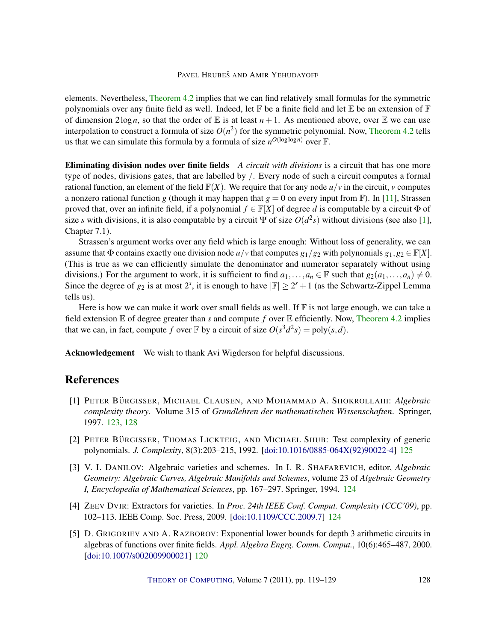<span id="page-9-5"></span>elements. Nevertheless, [Theorem](#page-8-0) [4.2](#page-8-0) implies that we can find relatively small formulas for the symmetric polynomials over any finite field as well. Indeed, let  $\mathbb F$  be a finite field and let  $\mathbb E$  be an extension of  $\mathbb F$ of dimension  $2\log n$ , so that the order of E is at least  $n+1$ . As mentioned above, over E we can use interpolation to construct a formula of size  $O(n^2)$  for the symmetric polynomial. Now, [Theorem](#page-8-0) [4.2](#page-8-0) tells us that we can simulate this formula by a formula of size  $n^{O(\log \log n)}$  over F.

Eliminating division nodes over finite fields *A circuit with divisions* is a circuit that has one more type of nodes, divisions gates, that are labelled by /. Every node of such a circuit computes a formal rational function, an element of the field  $\mathbb{F}(X)$ . We require that for any node  $u/v$  in the circuit, *v* computes a nonzero rational function *g* (though it may happen that  $g = 0$  on every input from F). In [\[11\]](#page-10-9), Strassen proved that, over an infinite field, if a polynomial  $f \in \mathbb{F}[X]$  of degree *d* is computable by a circuit  $\Phi$  of size *s* with divisions, it is also computable by a circuit  $\Psi$  of size  $O(d^2s)$  without divisions (see also [\[1\]](#page-9-1), Chapter 7.1).

Strassen's argument works over any field which is large enough: Without loss of generality, we can assume that  $\Phi$  contains exactly one division node  $u/v$  that computes  $g_1/g_2$  with polynomials  $g_1, g_2 \in \mathbb{F}[X]$ . (This is true as we can efficiently simulate the denominator and numerator separately without using divisions.) For the argument to work, it is sufficient to find  $a_1, \ldots, a_n \in \mathbb{F}$  such that  $g_2(a_1, \ldots, a_n) \neq 0$ . Since the degree of  $g_2$  is at most  $2^s$ , it is enough to have  $|\mathbb{F}| \ge 2^s + 1$  (as the Schwartz-Zippel Lemma tells us).

Here is how we can make it work over small fields as well. If  $\mathbb F$  is not large enough, we can take a field extension E of degree greater than *s* and compute *f* over E efficiently. Now, [Theorem](#page-8-0) [4.2](#page-8-0) implies that we can, in fact, compute f over  $\mathbb F$  by a circuit of size  $O(s^3d^2s) = \text{poly}(s, d)$ .

Acknowledgement We wish to thank Avi Wigderson for helpful discussions.

## References

- <span id="page-9-1"></span>[1] PETER BÜRGISSER, MICHAEL CLAUSEN, AND MOHAMMAD A. SHOKROLLAHI: Algebraic *complexity theory*. Volume 315 of *Grundlehren der mathematischen Wissenschaften*. Springer, 1997. [123,](#page-4-1) [128](#page-9-5)
- <span id="page-9-4"></span>[2] PETER BÜRGISSER, THOMAS LICKTEIG, AND MICHAEL SHUB: Test complexity of generic polynomials. *J. Complexity*, 8(3):203–215, 1992. [\[doi:10.1016/0885-064X\(92\)90022-4\]](http://dx.doi.org/10.1016/0885-064X(92)90022-4) [125](#page-6-0)
- <span id="page-9-3"></span>[3] V. I. DANILOV: Algebraic varieties and schemes. In I. R. SHAFAREVICH, editor, *Algebraic Geometry: Algebraic Curves, Algebraic Manifolds and Schemes*, volume 23 of *Algebraic Geometry I, Encyclopedia of Mathematical Sciences*, pp. 167–297. Springer, 1994. [124](#page-5-2)
- <span id="page-9-2"></span>[4] ZEEV DVIR: Extractors for varieties. In *Proc. 24th IEEE Conf. Comput. Complexity (CCC'09)*, pp. 102–113. IEEE Comp. Soc. Press, 2009. [\[doi:10.1109/CCC.2009.7\]](http://dx.doi.org/10.1109/CCC.2009.7) [124](#page-5-2)
- <span id="page-9-0"></span>[5] D. GRIGORIEV AND A. RAZBOROV: Exponential lower bounds for depth 3 arithmetic circuits in algebras of functions over finite fields. *Appl. Algebra Engrg. Comm. Comput.*, 10(6):465–487, 2000. [\[doi:10.1007/s002009900021\]](http://dx.doi.org/10.1007/s002009900021) [120](#page-1-0)